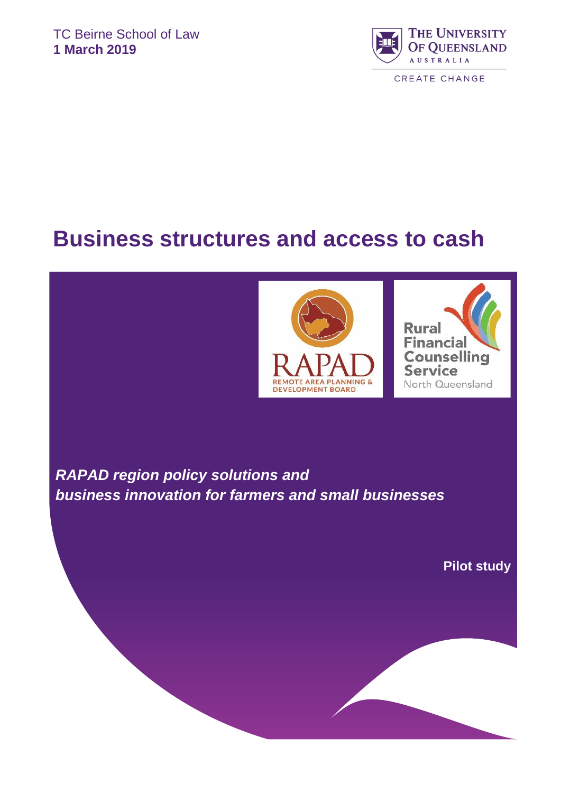

# **Business structures and access to cash**





**Who are the researchers?.............................................................................................................................12 References……………………………………………………………………………………………………………. .13** *RAPAD region policy solutions and business innovation for farmers and small businesses*

**Pilot study**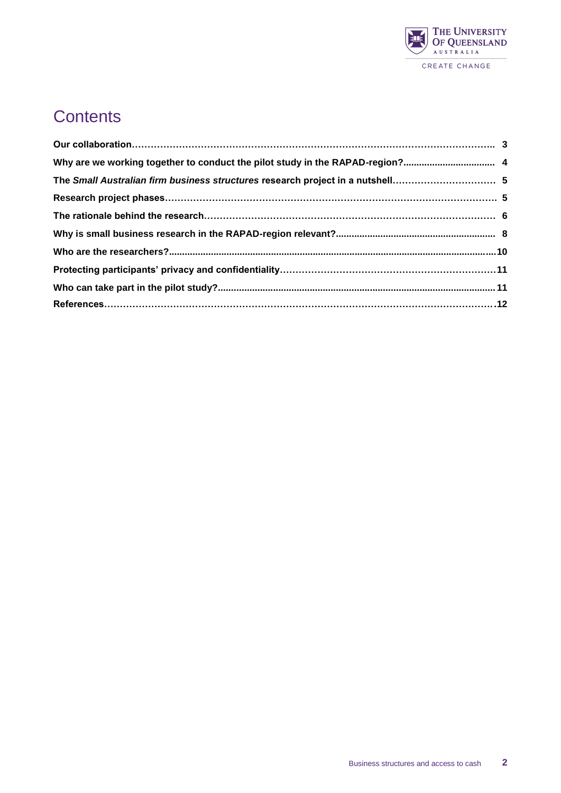

### **Contents**

| Why are we working together to conduct the pilot study in the RAPAD-region? 4  |  |
|--------------------------------------------------------------------------------|--|
| The Small Australian firm business structures research project in a nutshell 5 |  |
|                                                                                |  |
|                                                                                |  |
|                                                                                |  |
|                                                                                |  |
|                                                                                |  |
|                                                                                |  |
|                                                                                |  |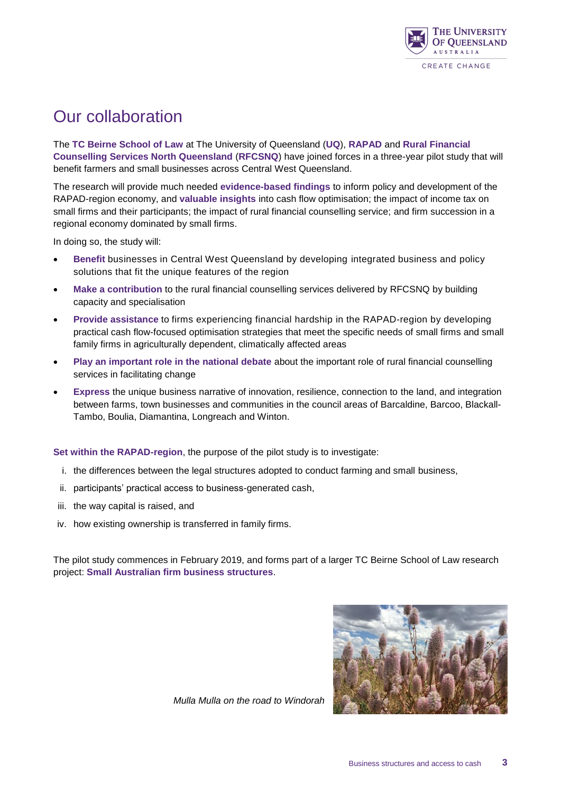

### Our collaboration

The **TC Beirne School of Law** at The University of Queensland (**UQ**), **RAPAD** and **Rural Financial Counselling Services North Queensland** (**RFCSNQ**) have joined forces in a three-year pilot study that will benefit farmers and small businesses across Central West Queensland.

The research will provide much needed **evidence-based findings** to inform policy and development of the RAPAD-region economy, and **valuable insights** into cash flow optimisation; the impact of income tax on small firms and their participants; the impact of rural financial counselling service; and firm succession in a regional economy dominated by small firms.

In doing so, the study will:

- **Benefit** businesses in Central West Queensland by developing integrated business and policy solutions that fit the unique features of the region
- **Make a contribution** to the rural financial counselling services delivered by RFCSNQ by building capacity and specialisation
- **Provide assistance** to firms experiencing financial hardship in the RAPAD-region by developing practical cash flow-focused optimisation strategies that meet the specific needs of small firms and small family firms in agriculturally dependent, climatically affected areas
- **Play an important role in the national debate** about the important role of rural financial counselling services in facilitating change
- **Express** the unique business narrative of innovation, resilience, connection to the land, and integration between farms, town businesses and communities in the council areas of Barcaldine, Barcoo, Blackall-Tambo, Boulia, Diamantina, Longreach and Winton.

**Set within the RAPAD-region**, the purpose of the pilot study is to investigate:

- i. the differences between the legal structures adopted to conduct farming and small business,
- ii. participants' practical access to business-generated cash,
- iii. the way capital is raised, and
- iv. how existing ownership is transferred in family firms.

The pilot study commences in February 2019, and forms part of a larger TC Beirne School of Law research project: **Small Australian firm business structures**.



*Mulla Mulla on the road to Windorah*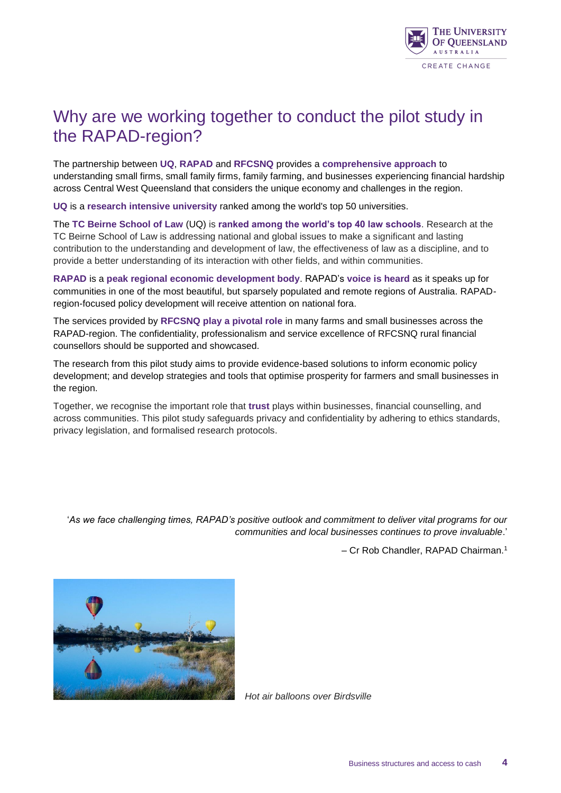

#### Why are we working together to conduct the pilot study in the RAPAD-region?

The partnership between **UQ**, **RAPAD** and **RFCSNQ** provides a **comprehensive approach** to understanding small firms, small family firms, family farming, and businesses experiencing financial hardship across Central West Queensland that considers the unique economy and challenges in the region.

**UQ** is a **research intensive university** ranked among the world's top 50 universities.

The **TC Beirne School of Law** (UQ) is **ranked among the world's top 40 law schools**. Research at the TC Beirne School of Law is addressing national and global issues to make a significant and lasting contribution to the understanding and development of law, the effectiveness of law as a discipline, and to provide a better understanding of its interaction with other fields, and within communities.

**RAPAD** is a **peak regional economic development body**. RAPAD's **voice is heard** as it speaks up for communities in one of the most beautiful, but sparsely populated and remote regions of Australia. RAPADregion-focused policy development will receive attention on national fora.

The services provided by **RFCSNQ play a pivotal role** in many farms and small businesses across the RAPAD-region. The confidentiality, professionalism and service excellence of RFCSNQ rural financial counsellors should be supported and showcased.

The research from this pilot study aims to provide evidence-based solutions to inform economic policy development; and develop strategies and tools that optimise prosperity for farmers and small businesses in the region.

Together, we recognise the important role that **trust** plays within businesses, financial counselling, and across communities. This pilot study safeguards privacy and confidentiality by adhering to ethics standards, privacy legislation, and formalised research protocols.

'*As we face challenging times, RAPAD's positive outlook and commitment to deliver vital programs for our communities and local businesses continues to prove invaluable*.'

– Cr Rob Chandler, RAPAD Chairman.<sup>1</sup>



*Hot air balloons over Birdsville*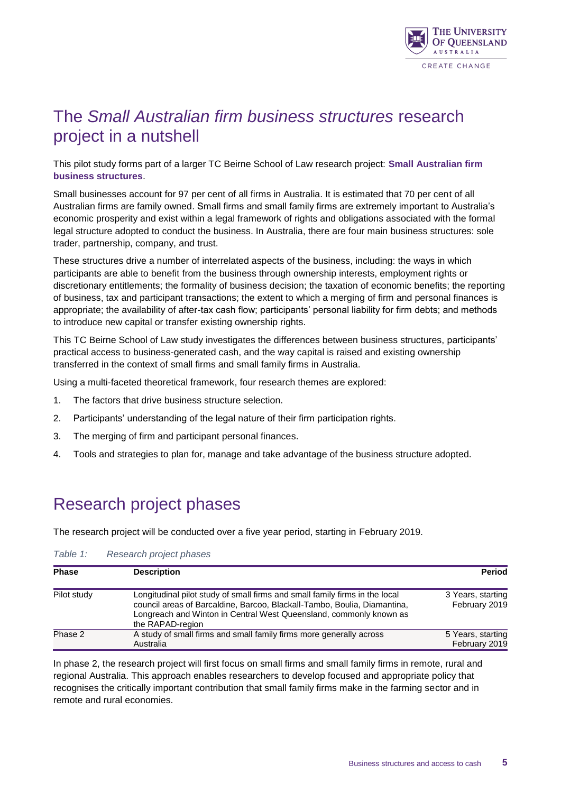

#### The *Small Australian firm business structures* research project in a nutshell

This pilot study forms part of a larger TC Beirne School of Law research project: **Small Australian firm business structures**.

Small businesses account for 97 per cent of all firms in Australia. It is estimated that 70 per cent of all Australian firms are family owned. Small firms and small family firms are extremely important to Australia's economic prosperity and exist within a legal framework of rights and obligations associated with the formal legal structure adopted to conduct the business. In Australia, there are four main business structures: sole trader, partnership, company, and trust.

These structures drive a number of interrelated aspects of the business, including: the ways in which participants are able to benefit from the business through ownership interests, employment rights or discretionary entitlements; the formality of business decision; the taxation of economic benefits; the reporting of business, tax and participant transactions; the extent to which a merging of firm and personal finances is appropriate; the availability of after-tax cash flow; participants' personal liability for firm debts; and methods to introduce new capital or transfer existing ownership rights.

This TC Beirne School of Law study investigates the differences between business structures, participants' practical access to business-generated cash, and the way capital is raised and existing ownership transferred in the context of small firms and small family firms in Australia.

Using a multi-faceted theoretical framework, four research themes are explored:

- 1. The factors that drive business structure selection.
- 2. Participants' understanding of the legal nature of their firm participation rights.
- 3. The merging of firm and participant personal finances.
- 4. Tools and strategies to plan for, manage and take advantage of the business structure adopted.

#### Research project phases

The research project will be conducted over a five year period, starting in February 2019.

| <b>Phase</b> | <b>Description</b>                                                                                                                                                                                                                                | <b>Period</b>                      |
|--------------|---------------------------------------------------------------------------------------------------------------------------------------------------------------------------------------------------------------------------------------------------|------------------------------------|
| Pilot study  | Longitudinal pilot study of small firms and small family firms in the local<br>council areas of Barcaldine, Barcoo, Blackall-Tambo, Boulia, Diamantina,<br>Longreach and Winton in Central West Queensland, commonly known as<br>the RAPAD-region | 3 Years, starting<br>February 2019 |
| Phase 2      | A study of small firms and small family firms more generally across<br>Australia                                                                                                                                                                  | 5 Years, starting<br>February 2019 |

#### *Table 1: Research project phases*

In phase 2, the research project will first focus on small firms and small family firms in remote, rural and regional Australia. This approach enables researchers to develop focused and appropriate policy that recognises the critically important contribution that small family firms make in the farming sector and in remote and rural economies.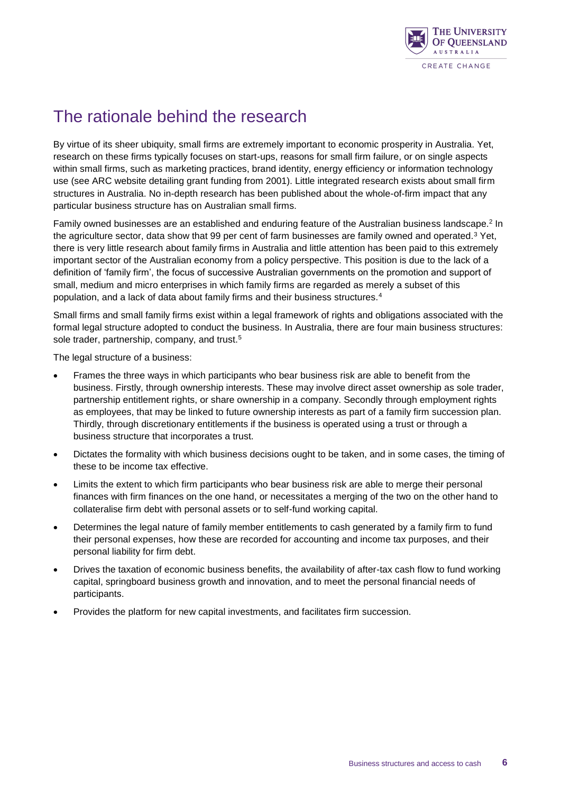

### The rationale behind the research

By virtue of its sheer ubiquity, small firms are extremely important to economic prosperity in Australia. Yet, research on these firms typically focuses on start-ups, reasons for small firm failure, or on single aspects within small firms, such as marketing practices, brand identity, energy efficiency or information technology use (see ARC website detailing grant funding from 2001). Little integrated research exists about small firm structures in Australia. No in-depth research has been published about the whole-of-firm impact that any particular business structure has on Australian small firms.

Family owned businesses are an established and enduring feature of the Australian business landscape.<sup>2</sup> In the agriculture sector, data show that 99 per cent of farm businesses are family owned and operated.<sup>3</sup> Yet, there is very little research about family firms in Australia and little attention has been paid to this extremely important sector of the Australian economy from a policy perspective. This position is due to the lack of a definition of 'family firm', the focus of successive Australian governments on the promotion and support of small, medium and micro enterprises in which family firms are regarded as merely a subset of this population, and a lack of data about family firms and their business structures.<sup>4</sup>

Small firms and small family firms exist within a legal framework of rights and obligations associated with the formal legal structure adopted to conduct the business. In Australia, there are four main business structures: sole trader, partnership, company, and trust.<sup>5</sup>

The legal structure of a business:

- Frames the three ways in which participants who bear business risk are able to benefit from the business. Firstly, through ownership interests. These may involve direct asset ownership as sole trader, partnership entitlement rights, or share ownership in a company. Secondly through employment rights as employees, that may be linked to future ownership interests as part of a family firm succession plan. Thirdly, through discretionary entitlements if the business is operated using a trust or through a business structure that incorporates a trust.
- Dictates the formality with which business decisions ought to be taken, and in some cases, the timing of these to be income tax effective.
- Limits the extent to which firm participants who bear business risk are able to merge their personal finances with firm finances on the one hand, or necessitates a merging of the two on the other hand to collateralise firm debt with personal assets or to self-fund working capital.
- Determines the legal nature of family member entitlements to cash generated by a family firm to fund their personal expenses, how these are recorded for accounting and income tax purposes, and their personal liability for firm debt.
- Drives the taxation of economic business benefits, the availability of after-tax cash flow to fund working capital, springboard business growth and innovation, and to meet the personal financial needs of participants.
- Provides the platform for new capital investments, and facilitates firm succession.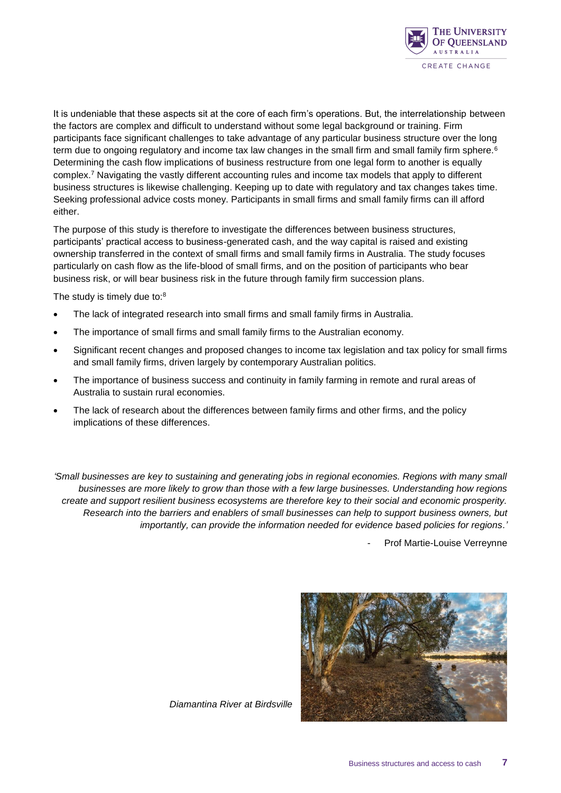

It is undeniable that these aspects sit at the core of each firm's operations. But, the interrelationship between the factors are complex and difficult to understand without some legal background or training. Firm participants face significant challenges to take advantage of any particular business structure over the long term due to ongoing regulatory and income tax law changes in the small firm and small family firm sphere.<sup>6</sup> Determining the cash flow implications of business restructure from one legal form to another is equally complex.<sup>7</sup> Navigating the vastly different accounting rules and income tax models that apply to different business structures is likewise challenging. Keeping up to date with regulatory and tax changes takes time. Seeking professional advice costs money. Participants in small firms and small family firms can ill afford either.

The purpose of this study is therefore to investigate the differences between business structures, participants' practical access to business-generated cash, and the way capital is raised and existing ownership transferred in the context of small firms and small family firms in Australia. The study focuses particularly on cash flow as the life-blood of small firms, and on the position of participants who bear business risk, or will bear business risk in the future through family firm succession plans.

The study is timely due to:<sup>8</sup>

- The lack of integrated research into small firms and small family firms in Australia.
- The importance of small firms and small family firms to the Australian economy.
- Significant recent changes and proposed changes to income tax legislation and tax policy for small firms and small family firms, driven largely by contemporary Australian politics.
- The importance of business success and continuity in family farming in remote and rural areas of Australia to sustain rural economies.
- The lack of research about the differences between family firms and other firms, and the policy implications of these differences.

*'Small businesses are key to sustaining and generating jobs in regional economies. Regions with many small businesses are more likely to grow than those with a few large businesses. Understanding how regions create and support resilient business ecosystems are therefore key to their social and economic prosperity. Research into the barriers and enablers of small businesses can help to support business owners, but importantly, can provide the information needed for evidence based policies for regions.'*

Prof Martie-Louise Verreynne



*Diamantina River at Birdsville*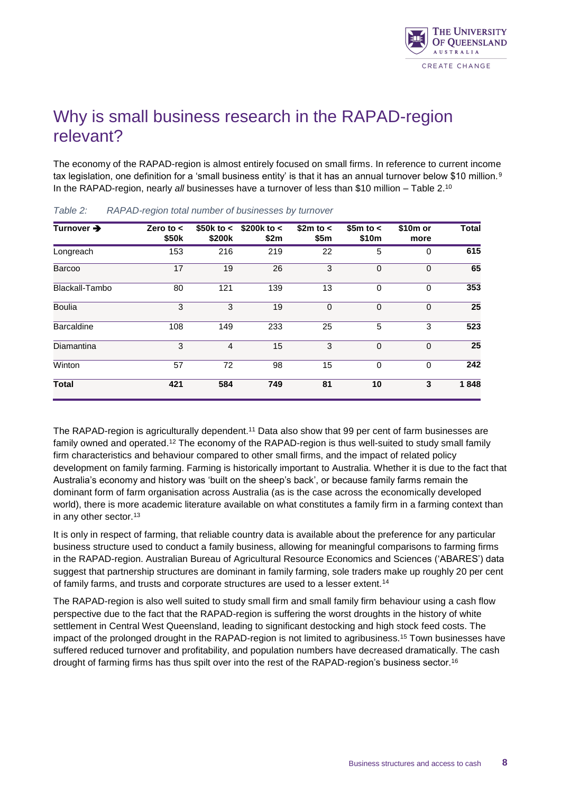

### Why is small business research in the RAPAD-region relevant?

The economy of the RAPAD-region is almost entirely focused on small firms. In reference to current income tax legislation, one definition for a 'small business entity' is that it has an annual turnover below \$10 million.<sup>9</sup> In the RAPAD-region, nearly *all* businesses have a turnover of less than \$10 million – Table 2. 10

| Turnover →        | Zero to $\lt$<br>\$50 <sub>k</sub> | \$50k to <<br>\$200k | $$200k$ to $<$<br>\$2m | \$2m to <<br>\$5m | $$5m$ to $<$<br>\$10m | $$10m$ or<br>more | <b>Total</b> |
|-------------------|------------------------------------|----------------------|------------------------|-------------------|-----------------------|-------------------|--------------|
| Longreach         | 153                                | 216                  | 219                    | 22                | 5                     | 0                 | 615          |
| Barcoo            | 17                                 | 19                   | 26                     | 3                 | $\Omega$              | $\Omega$          | 65           |
| Blackall-Tambo    | 80                                 | 121                  | 139                    | 13                | $\Omega$              | $\Omega$          | 353          |
| <b>Boulia</b>     | 3                                  | 3                    | 19                     | $\mathbf{0}$      | $\Omega$              | $\Omega$          | 25           |
| <b>Barcaldine</b> | 108                                | 149                  | 233                    | 25                | 5                     | 3                 | 523          |
| Diamantina        | 3                                  | $\overline{4}$       | 15                     | 3                 | $\Omega$              | $\Omega$          | 25           |
| Winton            | 57                                 | 72                   | 98                     | 15                | 0                     | $\Omega$          | 242          |
| <b>Total</b>      | 421                                | 584                  | 749                    | 81                | 10                    | 3                 | 1848         |

*Table 2: RAPAD-region total number of businesses by turnover*

The RAPAD-region is agriculturally dependent.<sup>11</sup> Data also show that 99 per cent of farm businesses are family owned and operated.<sup>12</sup> The economy of the RAPAD-region is thus well-suited to study small family firm characteristics and behaviour compared to other small firms, and the impact of related policy development on family farming. Farming is historically important to Australia. Whether it is due to the fact that Australia's economy and history was 'built on the sheep's back', or because family farms remain the dominant form of farm organisation across Australia (as is the case across the economically developed world), there is more academic literature available on what constitutes a family firm in a farming context than in any other sector.<sup>13</sup>

It is only in respect of farming, that reliable country data is available about the preference for any particular business structure used to conduct a family business, allowing for meaningful comparisons to farming firms in the RAPAD-region. Australian Bureau of Agricultural Resource Economics and Sciences ('ABARES') data suggest that partnership structures are dominant in family farming, sole traders make up roughly 20 per cent of family farms, and trusts and corporate structures are used to a lesser extent.<sup>14</sup>

The RAPAD-region is also well suited to study small firm and small family firm behaviour using a cash flow perspective due to the fact that the RAPAD-region is suffering the worst droughts in the history of white settlement in Central West Queensland, leading to significant destocking and high stock feed costs. The impact of the prolonged drought in the RAPAD-region is not limited to agribusiness.<sup>15</sup> Town businesses have suffered reduced turnover and profitability, and population numbers have decreased dramatically. The cash drought of farming firms has thus spilt over into the rest of the RAPAD-region's business sector.16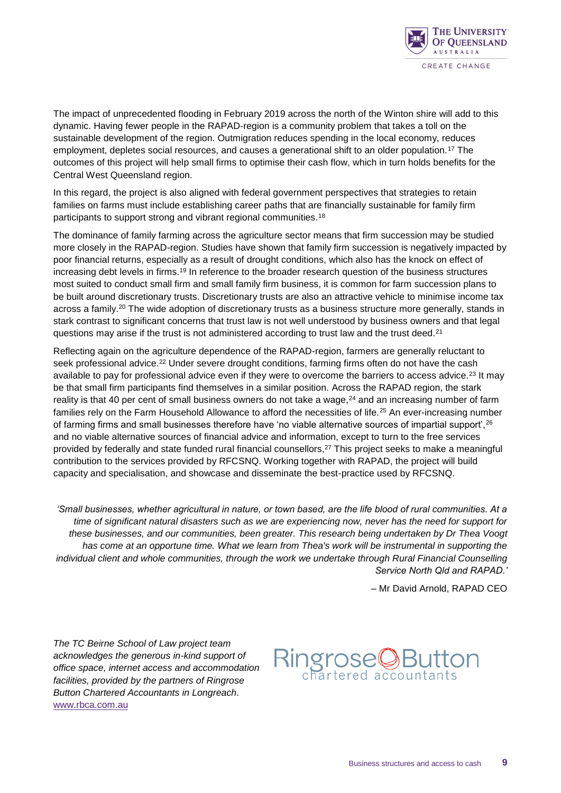

The impact of unprecedented flooding in February 2019 across the north of the Winton shire will add to this dynamic. Having fewer people in the RAPAD-region is a community problem that takes a toll on the sustainable development of the region. Outmigration reduces spending in the local economy, reduces employment, depletes social resources, and causes a generational shift to an older population.<sup>17</sup> The outcomes of this project will help small firms to optimise their cash flow, which in turn holds benefits for the Central West Queensland region.

In this regard, the project is also aligned with federal government perspectives that strategies to retain families on farms must include establishing career paths that are financially sustainable for family firm participants to support strong and vibrant regional communities.<sup>18</sup>

The dominance of family farming across the agriculture sector means that firm succession may be studied more closely in the RAPAD-region. Studies have shown that family firm succession is negatively impacted by poor financial returns, especially as a result of drought conditions, which also has the knock on effect of increasing debt levels in firms.<sup>19</sup> In reference to the broader research question of the business structures most suited to conduct small firm and small family firm business, it is common for farm succession plans to be built around discretionary trusts. Discretionary trusts are also an attractive vehicle to minimise income tax across a family.<sup>20</sup> The wide adoption of discretionary trusts as a business structure more generally, stands in stark contrast to significant concerns that trust law is not well understood by business owners and that legal questions may arise if the trust is not administered according to trust law and the trust deed.<sup>21</sup>

Reflecting again on the agriculture dependence of the RAPAD-region, farmers are generally reluctant to seek professional advice.<sup>22</sup> Under severe drought conditions, farming firms often do not have the cash available to pay for professional advice even if they were to overcome the barriers to access advice.<sup>23</sup> It may be that small firm participants find themselves in a similar position. Across the RAPAD region, the stark reality is that 40 per cent of small business owners do not take a wage, $24$  and an increasing number of farm families rely on the Farm Household Allowance to afford the necessities of life.<sup>25</sup> An ever-increasing number of farming firms and small businesses therefore have 'no viable alternative sources of impartial support',<sup>26</sup> and no viable alternative sources of financial advice and information, except to turn to the free services provided by federally and state funded rural financial counsellors,<sup>27</sup> This project seeks to make a meaningful contribution to the services provided by RFCSNQ. Working together with RAPAD, the project will build capacity and specialisation, and showcase and disseminate the best-practice used by RFCSNQ.

*'Small businesses, whether agricultural in nature, or town based, are the life blood of rural communities. At a time of significant natural disasters such as we are experiencing now, never has the need for support for these businesses, and our communities, been greater. This research being undertaken by Dr Thea Voogt has come at an opportune time. What we learn from Thea's work will be instrumental in supporting the individual client and whole communities, through the work we undertake through Rural Financial Counselling Service North Qld and RAPAD.'*

– Mr David Arnold, RAPAD CEO

*The TC Beirne School of Law project team acknowledges the generous in-kind support of office space, internet access and accommodation facilities, provided by the partners of Ringrose Button Chartered Accountants in Longreach*. [www.rbca.](http://www.rbca.com.au/our_firm)com.au

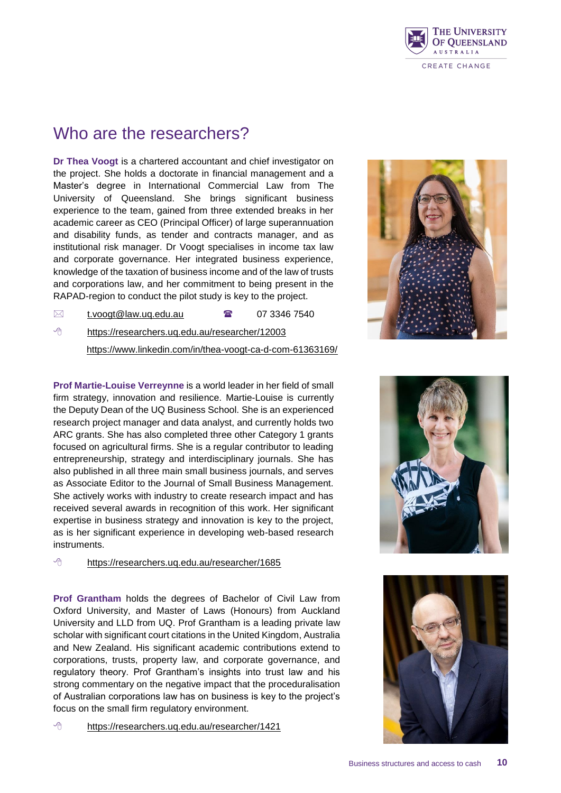

#### Who are the researchers?

**Dr Thea Voogt** is a chartered accountant and chief investigator on the project. She holds a doctorate in financial management and a Master's degree in International Commercial Law from The University of Queensland. She brings significant business experience to the team, gained from three extended breaks in her academic career as CEO (Principal Officer) of large superannuation and disability funds, as tender and contracts manager, and as institutional risk manager. Dr Voogt specialises in income tax law and corporate governance. Her integrated business experience, knowledge of the taxation of business income and of the law of trusts and corporations law, and her commitment to being present in the RAPAD-region to conduct the pilot study is key to the project.

 $\boxtimes$  [t.voogt@law.uq.edu.au](mailto:t.voogt@law.uq.edu.au)  $\blacksquare$  07 3346 7540

<https://researchers.uq.edu.au/researcher/12003>

<https://www.linkedin.com/in/thea-voogt-ca-d-com-61363169/>

**Prof Martie-Louise Verreynne** is a world leader in her field of small firm strategy, innovation and resilience. Martie-Louise is currently the Deputy Dean of the UQ Business School. She is an experienced research project manager and data analyst, and currently holds two ARC grants. She has also completed three other Category 1 grants focused on agricultural firms. She is a regular contributor to leading entrepreneurship, strategy and interdisciplinary journals. She has also published in all three main small business journals, and serves as Associate Editor to the Journal of Small Business Management. She actively works with industry to create research impact and has received several awards in recognition of this work. Her significant expertise in business strategy and innovation is key to the project, as is her significant experience in developing web-based research instruments.

<https://researchers.uq.edu.au/researcher/1685>

**Prof Grantham** holds the degrees of Bachelor of Civil Law from Oxford University, and Master of Laws (Honours) from Auckland University and LLD from UQ. Prof Grantham is a leading private law scholar with significant court citations in the United Kingdom, Australia and New Zealand. His significant academic contributions extend to corporations, trusts, property law, and corporate governance, and regulatory theory. Prof Grantham's insights into trust law and his strong commentary on the negative impact that the proceduralisation of Australian corporations law has on business is key to the project's focus on the small firm regulatory environment.

<https://researchers.uq.edu.au/researcher/1421>





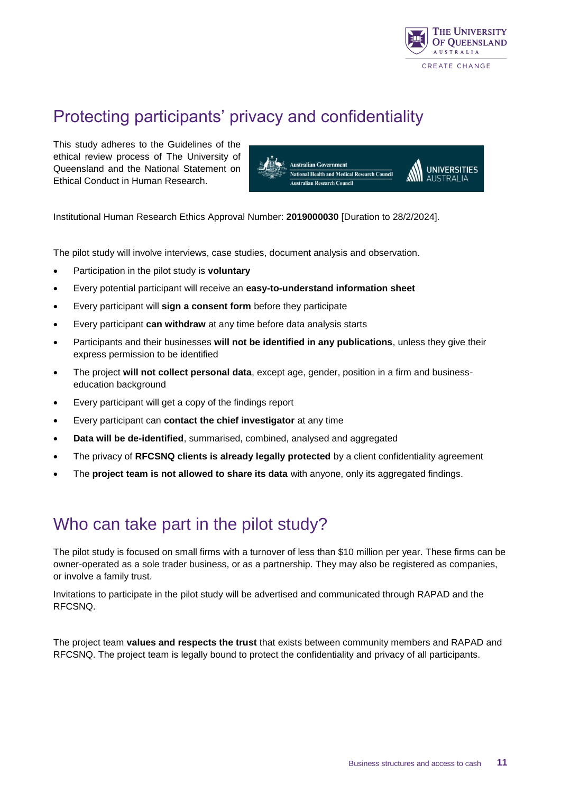

## Protecting participants' privacy and confidentiality

This study adheres to the Guidelines of the ethical review process of The University of Queensland and the National Statement on Ethical Conduct in Human Research.



Institutional Human Research Ethics Approval Number: **2019000030** [Duration to 28/2/2024].

The pilot study will involve interviews, case studies, document analysis and observation.

- Participation in the pilot study is **voluntary**
- Every potential participant will receive an **easy-to-understand information sheet**
- Every participant will **sign a consent form** before they participate
- Every participant **can withdraw** at any time before data analysis starts
- Participants and their businesses **will not be identified in any publications**, unless they give their express permission to be identified
- The project **will not collect personal data**, except age, gender, position in a firm and businesseducation background
- Every participant will get a copy of the findings report
- Every participant can **contact the chief investigator** at any time
- **Data will be de-identified**, summarised, combined, analysed and aggregated
- The privacy of **RFCSNQ clients is already legally protected** by a client confidentiality agreement
- The **project team is not allowed to share its data** with anyone, only its aggregated findings.

#### Who can take part in the pilot study?

The pilot study is focused on small firms with a turnover of less than \$10 million per year. These firms can be owner-operated as a sole trader business, or as a partnership. They may also be registered as companies, or involve a family trust.

Invitations to participate in the pilot study will be advertised and communicated through RAPAD and the RFCSNQ.

The project team **values and respects the trust** that exists between community members and RAPAD and RFCSNQ. The project team is legally bound to protect the confidentiality and privacy of all participants.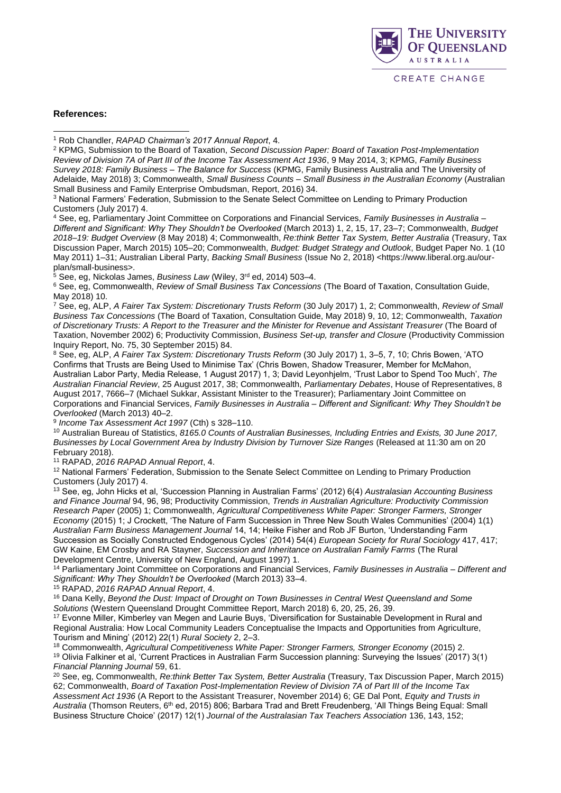

#### **References:**

-

<sup>3</sup> National Farmers' Federation, Submission to the Senate Select Committee on Lending to Primary Production Customers (July 2017) 4.

<sup>4</sup> See, eg, Parliamentary Joint Committee on Corporations and Financial Services, *Family Businesses in Australia – Different and Significant: Why They Shouldn't be Overlooked* (March 2013) 1, 2, 15, 17, 23–7; Commonwealth, *Budget 2018–19: Budget Overview* (8 May 2018) 4; Commonwealth, *Re:think Better Tax System, Better Australia* (Treasury, Tax Discussion Paper, March 2015) 105–20; Commonwealth, *Budget: Budget Strategy and Outlook*, Budget Paper No. 1 (10 May 2011) 1–31; Australian Liberal Party, *Backing Small Business* (Issue No 2, 2018) <https://www.liberal.org.au/ourplan/small-business>.

<sup>5</sup> See, eg, Nickolas James, *Business Law* (Wiley, 3rd ed, 2014) 503–4.

<sup>6</sup> See, eg, Commonwealth, *Review of Small Business Tax Concessions* (The Board of Taxation, Consultation Guide, May 2018) 10.

<sup>7</sup> See, eg, ALP, *A Fairer Tax System: Discretionary Trusts Reform* (30 July 2017) 1, 2; Commonwealth, *Review of Small Business Tax Concessions* (The Board of Taxation, Consultation Guide, May 2018) 9, 10, 12; Commonwealth, *Taxation of Discretionary Trusts: A Report to the Treasurer and the Minister for Revenue and Assistant Treasurer* (The Board of Taxation, November 2002) 6; Productivity Commission, *Business Set-up, transfer and Closure* (Productivity Commission Inquiry Report, No. 75, 30 September 2015) 84.

<sup>8</sup> See, eg, ALP, *A Fairer Tax System: Discretionary Trusts Reform* (30 July 2017) 1, 3–5, 7, 10; Chris Bowen, 'ATO Confirms that Trusts are Being Used to Minimise Tax' (Chris Bowen, Shadow Treasurer, Member for McMahon, Australian Labor Party, Media Release, 1 August 2017) 1, 3; David Leyonhjelm, 'Trust Labor to Spend Too Much', *The Australian Financial Review*, 25 August 2017, 38; Commonwealth, *Parliamentary Debates*, House of Representatives, 8 August 2017, 7666–7 (Michael Sukkar, Assistant Minister to the Treasurer); Parliamentary Joint Committee on Corporations and Financial Services, *Family Businesses in Australia – Different and Significant: Why They Shouldn't be Overlooked* (March 2013) 40–2.

9 *Income Tax Assessment Act 1997* (Cth) s 328–110.

<sup>10</sup> Australian Bureau of Statistics, *8165.0 Counts of Australian Businesses, Including Entries and Exists, 30 June 2017, Businesses by Local Government Area by Industry Division by Turnover Size Ranges* (Released at 11:30 am on 20 February 2018).

<sup>11</sup> RAPAD, *2016 RAPAD Annual Report*, 4.

<sup>12</sup> National Farmers' Federation, Submission to the Senate Select Committee on Lending to Primary Production Customers (July 2017) 4.

<sup>13</sup> See, eg, John Hicks et al, 'Succession Planning in Australian Farms' (2012) 6(4) *Australasian Accounting Business and Finance Journal* 94, 96, 98; Productivity Commission, *Trends in Australian Agriculture: Productivity Commission Research Paper* (2005) 1; Commonwealth, *Agricultural Competitiveness White Paper: Stronger Farmers, Stronger Economy* (2015) 1; J Crockett, 'The Nature of Farm Succession in Three New South Wales Communities' (2004) 1(1) *Australian Farm Business Management Journal* 14, 14; Heike Fisher and Rob JF Burton, 'Understanding Farm Succession as Socially Constructed Endogenous Cycles' (2014) 54(4) *European Society for Rural Sociology* 417, 417; GW Kaine, EM Crosby and RA Stayner, *Succession and Inheritance on Australian Family Farms* (The Rural Development Centre, University of New England, August 1997) 1.

<sup>14</sup> Parliamentary Joint Committee on Corporations and Financial Services, *Family Businesses in Australia – Different and Significant: Why They Shouldn't be Overlooked* (March 2013) 33–4.

<sup>15</sup> RAPAD, *2016 RAPAD Annual Report*, 4.

<sup>16</sup> Dana Kelly, *Beyond the Dust: Impact of Drought on Town Businesses in Central West Queensland and Some Solutions* (Western Queensland Drought Committee Report, March 2018) 6, 20, 25, 26, 39.

<sup>17</sup> Evonne Miller, Kimberley van Megen and Laurie Buys, 'Diversification for Sustainable Development in Rural and Regional Australia: How Local Community Leaders Conceptualise the Impacts and Opportunities from Agriculture, Tourism and Mining' (2012) 22(1) *Rural Society* 2, 2–3.

<sup>18</sup> Commonwealth, *Agricultural Competitiveness White Paper: Stronger Farmers, Stronger Economy (2015) 2.* <sup>19</sup> Olivia Falkiner et al, 'Current Practices in Australian Farm Succession planning: Surveying the Issues' (2017) 3(1) *Financial Planning Journal* 59, 61.

<sup>20</sup> See, eg, Commonwealth, *Re:think Better Tax System, Better Australia* (Treasury, Tax Discussion Paper, March 2015) 62; Commonwealth, *Board of Taxation Post-Implementation Review of Division 7A of Part III of the Income Tax Assessment Act 1936* (A Report to the Assistant Treasurer, November 2014) 6; GE Dal Pont, *Equity and Trusts in Australia* (Thomson Reuters, 6th ed, 2015) 806; Barbara Trad and Brett Freudenberg, 'All Things Being Equal: Small Business Structure Choice' (2017) 12(1) *Journal of the Australasian Tax Teachers Association* 136, 143, 152;

<sup>1</sup> Rob Chandler, *RAPAD Chairman's 2017 Annual Report*, 4.

<sup>2</sup> KPMG, Submission to the Board of Taxation, *Second Discussion Paper: Board of Taxation Post-Implementation Review of Division 7A of Part III of the Income Tax Assessment Act 1936*, 9 May 2014, 3; KPMG, *Family Business Survey 2018: Family Business – The Balance for Success* (KPMG, Family Business Australia and The University of Adelaide, May 2018) 3; Commonwealth, *Small Business Counts – Small Business in the Australian Economy* (Australian Small Business and Family Enterprise Ombudsman, Report, 2016) 34.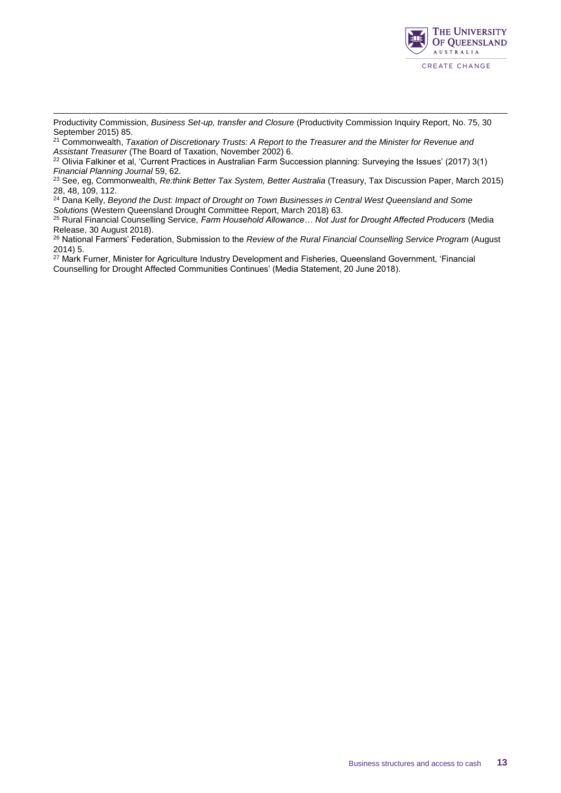

-Productivity Commission, *Business Set-up, transfer and Closure* (Productivity Commission Inquiry Report, No. 75, 30 September 2015) 85.

<sup>21</sup> Commonwealth, *Taxation of Discretionary Trusts: A Report to the Treasurer and the Minister for Revenue and Assistant Treasurer* (The Board of Taxation, November 2002) 6.

<sup>22</sup> Olivia Falkiner et al, 'Current Practices in Australian Farm Succession planning: Surveying the Issues' (2017) 3(1) *Financial Planning Journal* 59, 62.

<sup>23</sup> See, eg, Commonwealth, *Re:think Better Tax System, Better Australia* (Treasury, Tax Discussion Paper, March 2015) 28, 48, 109, 112.

<sup>24</sup> Dana Kelly, *Beyond the Dust: Impact of Drought on Town Businesses in Central West Queensland and Some Solutions* (Western Queensland Drought Committee Report, March 2018) 63.

<sup>25</sup> Rural Financial Counselling Service, *Farm Household Allowance… Not Just for Drought Affected Producers* (Media Release, 30 August 2018).

<sup>26</sup> National Farmers' Federation, Submission to the *Review of the Rural Financial Counselling Service Program* (August 2014) 5.

<sup>27</sup> Mark Furner, Minister for Agriculture Industry Development and Fisheries, Queensland Government, 'Financial Counselling for Drought Affected Communities Continues' (Media Statement, 20 June 2018).